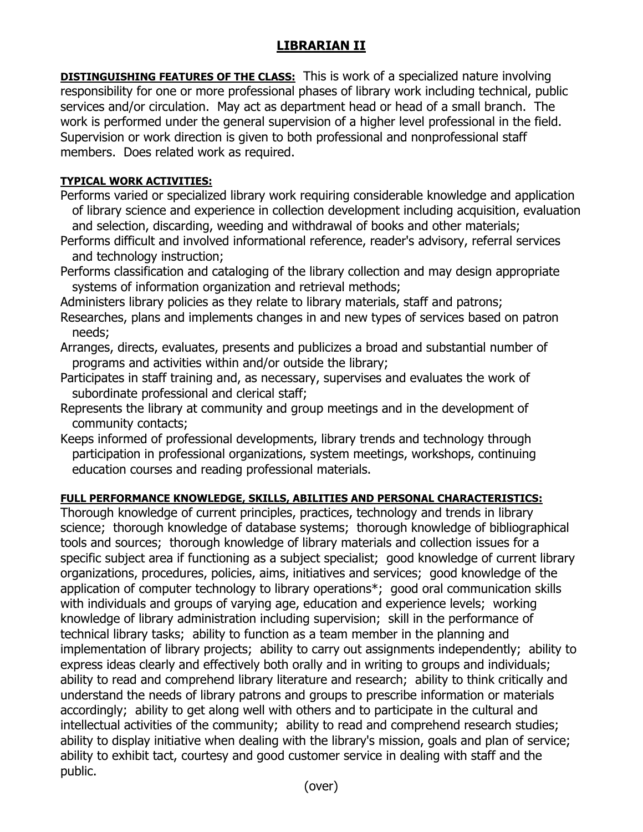## **LIBRARIAN II**

**DISTINGUISHING FEATURES OF THE CLASS:** This is work of a specialized nature involving responsibility for one or more professional phases of library work including technical, public services and/or circulation. May act as department head or head of a small branch. The work is performed under the general supervision of a higher level professional in the field. Supervision or work direction is given to both professional and nonprofessional staff members. Does related work as required.

## **TYPICAL WORK ACTIVITIES:**

Performs varied or specialized library work requiring considerable knowledge and application of library science and experience in collection development including acquisition, evaluation and selection, discarding, weeding and withdrawal of books and other materials;

- Performs difficult and involved informational reference, reader's advisory, referral services and technology instruction;
- Performs classification and cataloging of the library collection and may design appropriate systems of information organization and retrieval methods;

Administers library policies as they relate to library materials, staff and patrons;

- Researches, plans and implements changes in and new types of services based on patron needs;
- Arranges, directs, evaluates, presents and publicizes a broad and substantial number of programs and activities within and/or outside the library;
- Participates in staff training and, as necessary, supervises and evaluates the work of subordinate professional and clerical staff;
- Represents the library at community and group meetings and in the development of community contacts;
- Keeps informed of professional developments, library trends and technology through participation in professional organizations, system meetings, workshops, continuing education courses and reading professional materials.

## **FULL PERFORMANCE KNOWLEDGE, SKILLS, ABILITIES AND PERSONAL CHARACTERISTICS:**

Thorough knowledge of current principles, practices, technology and trends in library science; thorough knowledge of database systems; thorough knowledge of bibliographical tools and sources; thorough knowledge of library materials and collection issues for a specific subject area if functioning as a subject specialist; good knowledge of current library organizations, procedures, policies, aims, initiatives and services; good knowledge of the application of computer technology to library operations\*; good oral communication skills with individuals and groups of varying age, education and experience levels; working knowledge of library administration including supervision; skill in the performance of technical library tasks; ability to function as a team member in the planning and implementation of library projects; ability to carry out assignments independently; ability to express ideas clearly and effectively both orally and in writing to groups and individuals; ability to read and comprehend library literature and research; ability to think critically and understand the needs of library patrons and groups to prescribe information or materials accordingly; ability to get along well with others and to participate in the cultural and intellectual activities of the community; ability to read and comprehend research studies; ability to display initiative when dealing with the library's mission, goals and plan of service; ability to exhibit tact, courtesy and good customer service in dealing with staff and the public.